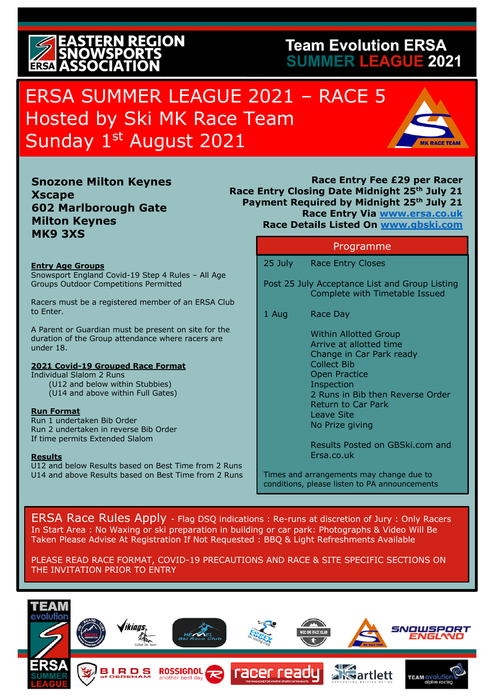### **ERN REGION ERSA ASSOCI**

#### **Team Evolution ERSA SUMMER LEAGUE 2021**

### ERSA SUMMER LEAGUE 2021 – RACE 5 Hosted by Ski MK Race Team Sunday 1st August 2021



**Snozone Milton Keynes Xscape 602 Marlborough Gate Milton Keynes MK9 3XS**

#### **Entry Age Groups**

Snowsport England Covid-19 Step 4 Rules – All Age Groups Outdoor Competitions Permitted

Racers must be a registered member of an ERSA Club to Enter.

A Parent or Guardian must be present on site for the duration of the Group attendance where racers are under 18.

#### **2021 Covid-19 Grouped Race Format**

Individual Slalom 2 Runs (U12 and below within Stubbies) (U14 and above within Full Gates)

#### **Run Format**

Run 1 undertaken Bib Order Run 2 undertaken in reverse Bib Order If time permits Extended Slalom

#### **Results**

U12 and below Results based on Best Time from 2 Runs U14 and above Results based on Best Time from 2 Runs

**Race Entry Fee £29 per Racer Race Entry Closing Date Midnight 25th July 21 Payment Required by Midnight 25th July 21 Race Entry Via www.ersa.co.uk Race Details Listed On www.gbski.com** 

#### Programme

25 July Race Entry Closes

Post 25 July Acceptance List and Group Listing Complete with Timetable Issued

1 Aug Race Day

Within Allotted Group Arrive at allotted time Change in Car Park ready Collect Bib Open Practice Inspection 2 Runs in Bib then Reverse Order Return to Car Park Leave Site No Prize giving

Results Posted on GBSki.com and Ersa.co.uk

Times and arrangements may change due to conditions, please listen to PA announcements

ERSA Race Rules Apply - Flag DSQ indications : Re-runs at discretion of Jury : Only Racers In Start Area : No Waxing or ski preparation in building or car park: Photographs & Video Will Be Taken Please Advise At Registration If Not Requested : BBQ & Light Refreshments Available

PLEASE READ RACE FORMAT, COVID-19 PRECAUTIONS AND RACE & SITE SPECIFIC SECTIONS ON THE INVITATION PRIOR TO ENTRY

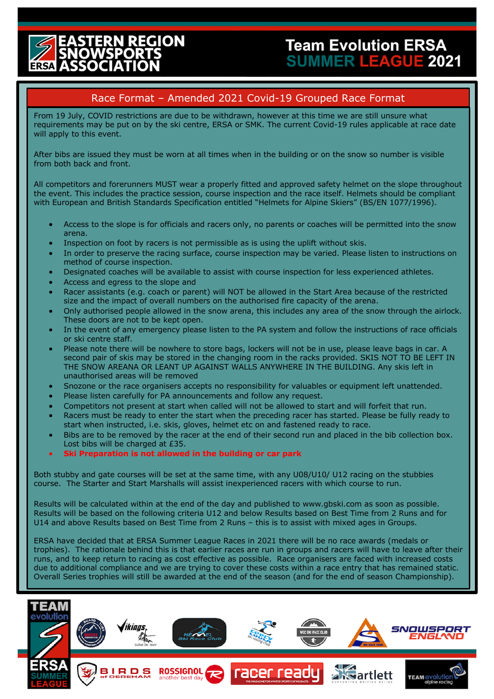# **REGION**

#### Race Format – Amended 2021 Covid-19 Grouped Race Format

From 19 July, COVID restrictions are due to be withdrawn, however at this time we are still unsure what requirements may be put on by the ski centre, ERSA or SMK. The current Covid-19 rules applicable at race date will apply to this event.

After bibs are issued they must be worn at all times when in the building or on the snow so number is visible from both back and front.

All competitors and forerunners MUST wear a properly fitted and approved safety helmet on the slope throughout the event. This includes the practice session, course inspection and the race itself. Helmets should be compliant with European and British Standards Specification entitled "Helmets for Alpine Skiers" (BS/EN 1077/1996).

- Access to the slope is for officials and racers only, no parents or coaches will be permitted into the snow arena.
- Inspection on foot by racers is not permissible as is using the uplift without skis.
- In order to preserve the racing surface, course inspection may be varied. Please listen to instructions on method of course inspection.
- Designated coaches will be available to assist with course inspection for less experienced athletes.
- Access and egress to the slope and

Ξ

- Racer assistants (e.g. coach or parent) will NOT be allowed in the Start Area because of the restricted size and the impact of overall numbers on the authorised fire capacity of the arena.
- Only authorised people allowed in the snow arena, this includes any area of the snow through the airlock. These doors are not to be kept open.
- In the event of any emergency please listen to the PA system and follow the instructions of race officials or ski centre staff.
- Please note there will be nowhere to store bags, lockers will not be in use, please leave bags in car. A second pair of skis may be stored in the changing room in the racks provided. SKIS NOT TO BE LEFT IN THE SNOW AREANA OR LEANT UP AGAINST WALLS ANYWHERE IN THE BUILDING. Any skis left in unauthorised areas will be removed
- Snozone or the race organisers accepts no responsibility for valuables or equipment left unattended.
- Please listen carefully for PA announcements and follow any request.
- Competitors not present at start when called will not be allowed to start and will forfeit that run.
- Racers must be ready to enter the start when the preceding racer has started. Please be fully ready to start when instructed, i.e. skis, gloves, helmet etc on and fastened ready to race.
- Bibs are to be removed by the racer at the end of their second run and placed in the bib collection box. Lost bibs will be charged at £35.
- **Ski Preparation is not allowed in the building or car park**

Both stubby and gate courses will be set at the same time, with any U08/U10/ U12 racing on the stubbies course. The Starter and Start Marshalls will assist inexperienced racers with which course to run.

Results will be calculated within at the end of the day and published to www.gbski.com as soon as possible. Results will be based on the following criteria U12 and below Results based on Best Time from 2 Runs and for U14 and above Results based on Best Time from 2 Runs – this is to assist with mixed ages in Groups.

ERSA have decided that at ERSA Summer League Races in 2021 there will be no race awards (medals or trophies). The rationale behind this is that earlier races are run in groups and racers will have to leave after their runs, and to keep return to racing as cost effective as possible. Race organisers are faced with increased costs due to additional compliance and we are trying to cover these costs within a race entry that has remained static. Overall Series trophies will still be awarded at the end of the season (and for the end of season Championship).

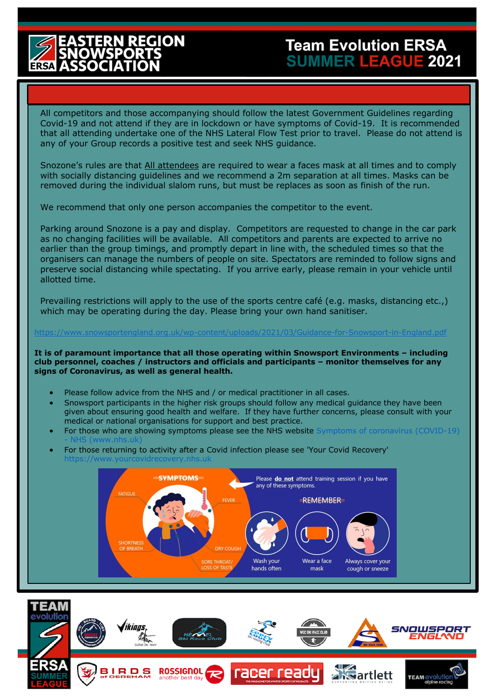# **REGION**

### **Team Evolution ERSA SUMMER LEAGUE 2021**

All competitors and those accompanying should follow the latest Government Guidelines regarding Covid-19 and not attend if they are in lockdown or have symptoms of Covid-19. It is recommended that all attending undertake one of the NHS Lateral Flow Test prior to travel. Please do not attend is any of your Group records a positive test and seek NHS guidance.

Snozone's rules are that All attendees are required to wear a faces mask at all times and to comply with socially distancing guidelines and we recommend a 2m separation at all times. Masks can be removed during the individual slalom runs, but must be replaces as soon as finish of the run.

We recommend that only one person accompanies the competitor to the event.

Parking around Snozone is a pay and display. Competitors are requested to change in the car park as no changing facilities will be available. All competitors and parents are expected to arrive no earlier than the group timings, and promptly depart in line with, the scheduled times so that the organisers can manage the numbers of people on site. Spectators are reminded to follow signs and preserve social distancing while spectating. If you arrive early, please remain in your vehicle until allotted time.

Prevailing restrictions will apply to the use of the sports centre café (e.g. masks, distancing etc.,) which may be operating during the day. Please bring your own hand sanitiser.

#### https://www.snowsportengland.org.uk/wp-content/uploads/2021/03/Guidance-for-Snowsport-in-England.pdf

**It is of paramount importance that all those operating within Snowsport Environments – including club personnel, coaches / instructors and officials and participants – monitor themselves for any signs of Coronavirus, as well as general health.** 

- Please follow advice from the NHS and / or medical practitioner in all cases.
- Snowsport participants in the higher risk groups should follow any medical guidance they have been given about ensuring good health and welfare. If they have further concerns, please consult with your medical or national organisations for support and best practice.
- For those who are showing symptoms please see the NHS website Symptoms of coronavirus (COVID-19) - NHS (www.nhs.uk)
- For those returning to activity after a Covid infection please see 'Your Covid Recovery' ourcovidrecovery.nhs.uk